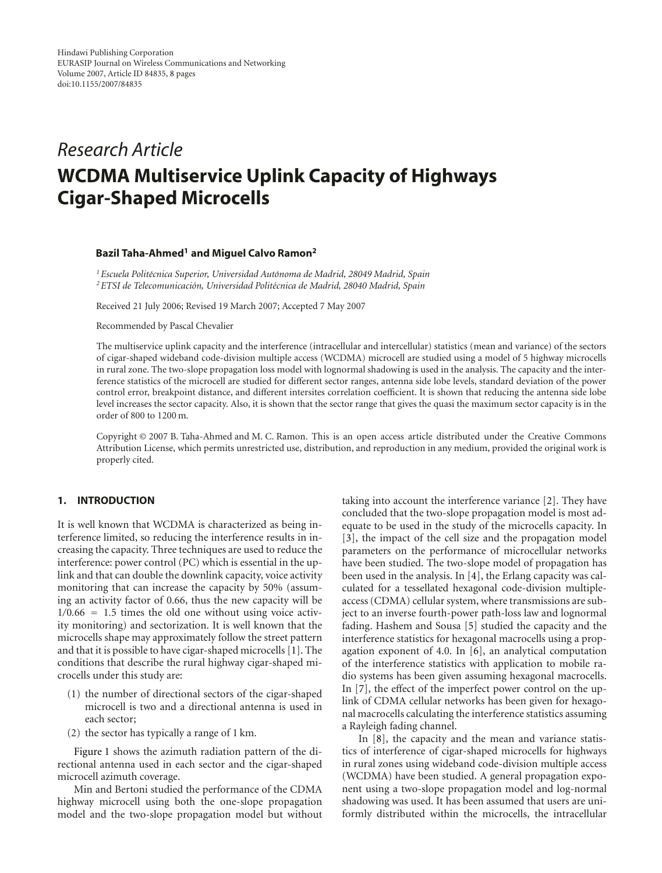# *Research Article* **WCDMA Multiservice Uplink Capacity of Highways Cigar-Shaped Microcells**

# **Bazil Taha-Ahmed1 and Miguel Calvo Ramon2**

*1Escuela Polit´ecnica Superior, Universidad Autonoma de Madrid, 28049 Madrid, Spain ´* <sup>2</sup> ETSI de Telecomunicación, Universidad Politécnica de Madrid, 28040 Madrid, Spain

Received 21 July 2006; Revised 19 March 2007; Accepted 7 May 2007

Recommended by Pascal Chevalier

The multiservice uplink capacity and the interference (intracellular and intercellular) statistics (mean and variance) of the sectors of cigar-shaped wideband code-division multiple access (WCDMA) microcell are studied using a model of 5 highway microcells in rural zone. The two-slope propagation loss model with lognormal shadowing is used in the analysis. The capacity and the interference statistics of the microcell are studied for different sector ranges, antenna side lobe levels, standard deviation of the power control error, breakpoint distance, and different intersites correlation coefficient. It is shown that reducing the antenna side lobe level increases the sector capacity. Also, it is shown that the sector range that gives the quasi the maximum sector capacity is in the order of 800 to 1200 m.

Copyright © 2007 B. Taha-Ahmed and M. C. Ramon. This is an open access article distributed under the Creative Commons Attribution License, which permits unrestricted use, distribution, and reproduction in any medium, provided the original work is properly cited.

## **1. INTRODUCTION**

It is well known that WCDMA is characterized as being interference limited, so reducing the interference results in increasing the capacity. Three techniques are used to reduce the interference: power control (PC) which is essential in the uplink and that can double the downlink capacity, voice activity monitoring that can increase the capacity by 50% (assuming an activity factor of 0.66, thus the new capacity will be 1*/*0*.*66 = 1*.*5 times the old one without using voice activity monitoring) and sectorization. It is well known that the microcells shape may approximately follow the street pattern and that it is possible to have cigar-shaped microcells [\[1\]](#page-7-1). The conditions that describe the rural highway cigar-shaped microcells under this study are:

- (1) the number of directional sectors of the cigar-shaped microcell is two and a directional antenna is used in each sector;
- (2) the sector has typically a range of 1 km.

[Figure 1](#page-1-0) shows the azimuth radiation pattern of the directional antenna used in each sector and the cigar-shaped microcell azimuth coverage.

Min and Bertoni studied the performance of the CDMA highway microcell using both the one-slope propagation model and the two-slope propagation model but without taking into account the interference variance [\[2\]](#page-7-2). They have concluded that the two-slope propagation model is most adequate to be used in the study of the microcells capacity. In [\[3\]](#page-7-3), the impact of the cell size and the propagation model parameters on the performance of microcellular networks have been studied. The two-slope model of propagation has been used in the analysis. In [\[4](#page-7-4)], the Erlang capacity was calculated for a tessellated hexagonal code-division multipleaccess (CDMA) cellular system, where transmissions are subject to an inverse fourth-power path-loss law and lognormal fading. Hashem and Sousa [\[5](#page-7-5)] studied the capacity and the interference statistics for hexagonal macrocells using a propagation exponent of 4.0. In [\[6](#page-7-6)], an analytical computation of the interference statistics with application to mobile radio systems has been given assuming hexagonal macrocells. In [\[7](#page-7-7)], the effect of the imperfect power control on the uplink of CDMA cellular networks has been given for hexagonal macrocells calculating the interference statistics assuming a Rayleigh fading channel.

In [\[8](#page-7-8)], the capacity and the mean and variance statistics of interference of cigar-shaped microcells for highways in rural zones using wideband code-division multiple access (WCDMA) have been studied. A general propagation exponent using a two-slope propagation model and log-normal shadowing was used. It has been assumed that users are uniformly distributed within the microcells, the intracellular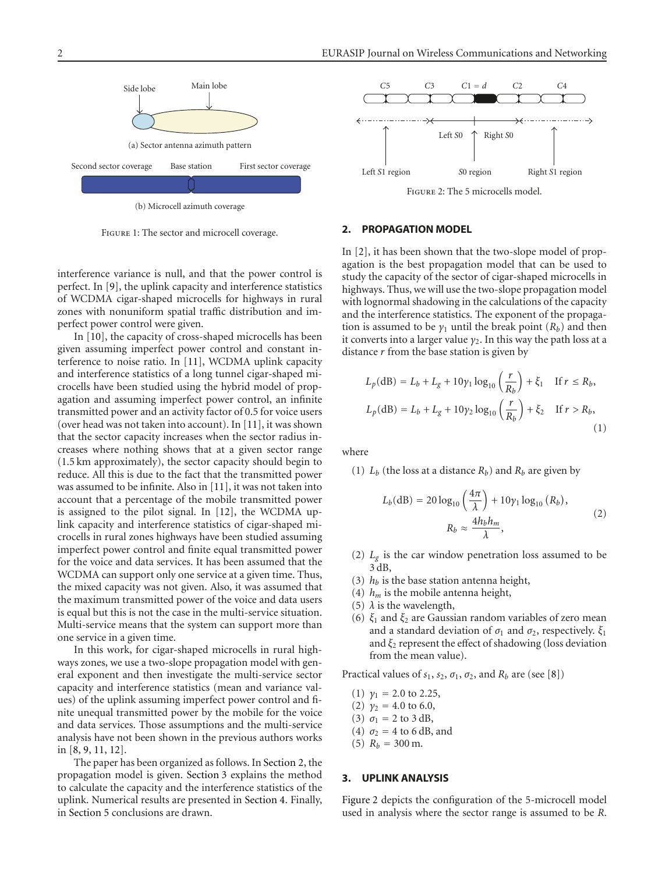

(b) Microcell azimuth coverage

Figure 1: The sector and microcell coverage.

<span id="page-1-0"></span>interference variance is null, and that the power control is perfect. In [\[9](#page-7-9)], the uplink capacity and interference statistics of WCDMA cigar-shaped microcells for highways in rural zones with nonuniform spatial traffic distribution and imperfect power control were given.

In [\[10](#page-7-10)], the capacity of cross-shaped microcells has been given assuming imperfect power control and constant interference to noise ratio. In [\[11\]](#page-7-11), WCDMA uplink capacity and interference statistics of a long tunnel cigar-shaped microcells have been studied using the hybrid model of propagation and assuming imperfect power control, an infinite transmitted power and an activity factor of 0.5 for voice users (over head was not taken into account). In [\[11\]](#page-7-11), it was shown that the sector capacity increases when the sector radius increases where nothing shows that at a given sector range (1.5 km approximately), the sector capacity should begin to reduce. All this is due to the fact that the transmitted power was assumed to be infinite. Also in [\[11\]](#page-7-11), it was not taken into account that a percentage of the mobile transmitted power is assigned to the pilot signal. In [\[12\]](#page-7-12), the WCDMA uplink capacity and interference statistics of cigar-shaped microcells in rural zones highways have been studied assuming imperfect power control and finite equal transmitted power for the voice and data services. It has been assumed that the WCDMA can support only one service at a given time. Thus, the mixed capacity was not given. Also, it was assumed that the maximum transmitted power of the voice and data users is equal but this is not the case in the multi-service situation. Multi-service means that the system can support more than one service in a given time.

In this work, for cigar-shaped microcells in rural highways zones, we use a two-slope propagation model with general exponent and then investigate the multi-service sector capacity and interference statistics (mean and variance values) of the uplink assuming imperfect power control and finite unequal transmitted power by the mobile for the voice and data services. Those assumptions and the multi-service analysis have not been shown in the previous authors works in [\[8,](#page-7-8) [9](#page-7-9), [11,](#page-7-11) [12\]](#page-7-12).

The paper has been organized as follows. In [Section 2,](#page-1-1) the propagation model is given. [Section 3](#page-1-2) explains the method to calculate the capacity and the interference statistics of the uplink. Numerical results are presented in [Section 4.](#page-4-0) Finally, in [Section 5](#page-6-0) conclusions are drawn.



#### <span id="page-1-3"></span><span id="page-1-1"></span>**2. PROPAGATION MODEL**

In [\[2\]](#page-7-2), it has been shown that the two-slope model of propagation is the best propagation model that can be used to study the capacity of the sector of cigar-shaped microcells in highways. Thus, we will use the two-slope propagation model with lognormal shadowing in the calculations of the capacity and the interference statistics. The exponent of the propagation is assumed to be  $\gamma_1$  until the break point  $(R_b)$  and then it converts into a larger value  $\gamma_2$ . In this way the path loss at a distance *r* from the base station is given by

$$
L_p(\text{dB}) = L_b + L_g + 10\gamma_1 \log_{10} \left(\frac{r}{R_b}\right) + \xi_1 \quad \text{If } r \le R_b,
$$
  

$$
L_p(\text{dB}) = L_b + L_g + 10\gamma_2 \log_{10} \left(\frac{r}{R_b}\right) + \xi_2 \quad \text{If } r > R_b,
$$
 (1)

where

(1)  $L_b$  (the loss at a distance  $R_b$ ) and  $R_b$  are given by

$$
L_b(\text{dB}) = 20 \log_{10} \left(\frac{4\pi}{\lambda}\right) + 10\gamma_1 \log_{10} (R_b),
$$
  

$$
R_b \approx \frac{4h_b h_m}{\lambda},
$$
 (2)

- (2)  $L_g$  is the car window penetration loss assumed to be 3 dB,
- (3)  $h_b$  is the base station antenna height,
- (4)  $h_m$  is the mobile antenna height,
- (5)  $\lambda$  is the wavelength,
- (6) *ξ*<sup>1</sup> and *ξ*<sup>2</sup> are Gaussian random variables of zero mean and a standard deviation of  $\sigma_1$  and  $\sigma_2$ , respectively.  $\xi_1$ and  $\xi_2$  represent the effect of shadowing (loss deviation from the mean value).

Practical values of  $s_1$ ,  $s_2$ ,  $\sigma_1$ ,  $\sigma_2$ , and  $R_b$  are (see [\[8\]](#page-7-8))

- (1)  $\gamma_1 = 2.0$  to 2.25,
- (2)  $\gamma_2 = 4.0$  to 6.0,
- (3)  $σ_1 = 2$  to 3 dB,
- (4)  $\sigma_2 = 4$  to 6 dB, and
- (5)  $R_b = 300$  m.

## <span id="page-1-2"></span>**3. UPLINK ANALYSIS**

[Figure 2](#page-1-3) depicts the configuration of the 5-microcell model used in analysis where the sector range is assumed to be *R*.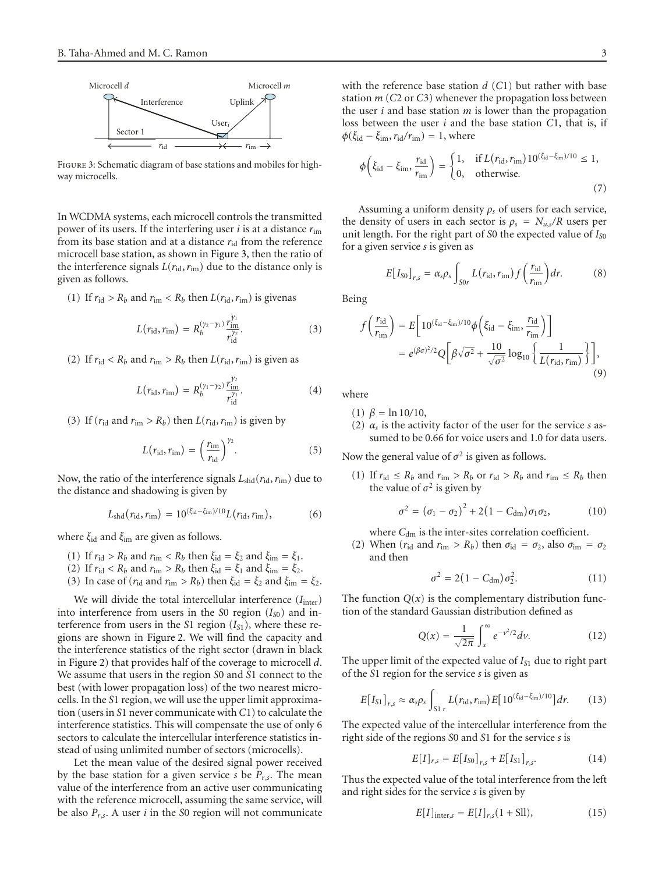

<span id="page-2-0"></span>Figure 3: Schematic diagram of base stations and mobiles for highway microcells.

In WCDMA systems, each microcell controls the transmitted power of its users. If the interfering user *i* is at a distance *r*im from its base station and at a distance  $r_{id}$  from the reference microcell base station, as shown in [Figure 3,](#page-2-0) then the ratio of the interference signals  $L(r_{\text{id}}, r_{\text{im}})$  due to the distance only is given as follows.

(1) If  $r_{\text{id}} > R_b$  and  $r_{\text{im}} < R_b$  then  $L(r_{\text{id}}, r_{\text{im}})$  is given as

$$
L(r_{\rm id}, r_{\rm im}) = R_b^{(\gamma_2 - \gamma_1)} \frac{r_{\rm im}^{\gamma_1}}{r_{\rm id}^{\gamma_2}}.
$$
 (3)

(2) If  $r_{\text{id}} < R_b$  and  $r_{\text{im}} > R_b$  then  $L(r_{\text{id}}, r_{\text{im}})$  is given as

$$
L(r_{\rm id}, r_{\rm im}) = R_b^{(\gamma_1 - \gamma_2)} \frac{r_{\rm im}^{\gamma_2}}{r_{\rm id}^{\gamma_1}}.
$$
 (4)

(3) If  $(r_{\text{id}} \text{ and } r_{\text{im}} > R_b)$  then  $L(r_{\text{id}}, r_{\text{im}})$  is given by

$$
L(r_{\rm id}, r_{\rm im}) = \left(\frac{r_{\rm im}}{r_{\rm id}}\right)^{\gamma_2}.\tag{5}
$$

Now, the ratio of the interference signals  $L_{\text{shd}}(r_{\text{id}}, r_{\text{im}})$  due to the distance and shadowing is given by

$$
L_{\rm shd}(r_{\rm id}, r_{\rm im}) = 10^{(\xi_{\rm id} - \xi_{\rm im})/10} L(r_{\rm id}, r_{\rm im}), \tag{6}
$$

where *ξ*id and *ξ*im are given as follows.

- (1) If  $r_{\text{id}} > R_b$  and  $r_{\text{im}} < R_b$  then  $\xi_{\text{id}} = \xi_2$  and  $\xi_{\text{im}} = \xi_1$ .
- (2) If  $r_{\text{id}} < R_b$  and  $r_{\text{im}} > R_b$  then  $\xi_{\text{id}} = \xi_1$  and  $\xi_{\text{im}} = \xi_2$ .
- (3) In case of ( $r_{\text{id}}$  and  $r_{\text{im}} > R_b$ ) then  $\xi_{\text{id}} = \xi_2$  and  $\xi_{\text{im}} = \xi_2$ .

We will divide the total intercellular interference ( $I_{\text{inter}}$ ) into interference from users in the *S*0 region (*I<sub>S0</sub>*) and interference from users in the *S*1 region  $(I_{S1})$ , where these regions are shown in [Figure 2.](#page-1-3) We will find the capacity and the interference statistics of the right sector (drawn in black in [Figure 2\)](#page-1-3) that provides half of the coverage to microcell *d*. We assume that users in the region *S*0 and *S*1 connect to the best (with lower propagation loss) of the two nearest microcells. In the *S*1 region, we will use the upper limit approximation (users in *S*1 never communicate with *C*1) to calculate the interference statistics. This will compensate the use of only 6 sectors to calculate the intercellular interference statistics instead of using unlimited number of sectors (microcells).

Let the mean value of the desired signal power received by the base station for a given service *s* be *Pr*,*s*. The mean value of the interference from an active user communicating with the reference microcell, assuming the same service, will be also *Pr*,*s*. A user *i* in the *S*0 region will not communicate

with the reference base station *d* (*C*1) but rather with base station *m* (*C*2 or *C*3) whenever the propagation loss between the user *i* and base station *m* is lower than the propagation loss between the user *i* and the base station *C*1, that is, if  $\phi(\xi_{\rm id} - \xi_{\rm im}, r_{\rm id}/r_{\rm im}) = 1$ , where

$$
\phi\left(\xi_{\rm id} - \xi_{\rm im}, \frac{r_{\rm id}}{r_{\rm im}}\right) = \begin{cases} 1, & \text{if } L(r_{\rm id}, r_{\rm im}) 10^{(\xi_{\rm id} - \xi_{\rm im})/10} \le 1, \\ 0, & \text{otherwise.} \end{cases} \tag{7}
$$

Assuming a uniform density *ρs* of users for each service, the density of users in each sector is  $\rho_s = N_{u,s}/R$  users per unit length. For the right part of *S*0 the expected value of *IS*<sup>0</sup> for a given service *s* is given as

$$
E[I_{\rm SO}]_{r,s} = \alpha_s \rho_s \int_{\rm SOr} L(r_{\rm id}, r_{\rm im}) f\left(\frac{r_{\rm id}}{r_{\rm im}}\right) dr.
$$
 (8)

Being

$$
f\left(\frac{r_{\rm id}}{r_{\rm im}}\right) = E\left[10^{(\xi_{\rm id}-\xi_{\rm im})/10}\phi\left(\xi_{\rm id}-\xi_{\rm im},\frac{r_{\rm id}}{r_{\rm im}}\right)\right]
$$

$$
= e^{(\beta\sigma)^2/2}Q\left[\beta\sqrt{\sigma^2}+\frac{10}{\sqrt{\sigma^2}}\log_{10}\left\{\frac{1}{L(r_{\rm id},r_{\rm im})}\right\}\right],\tag{9}
$$

where

- (1) *β* = ln 10*/*10,
- (2)  $\alpha_s$  is the activity factor of the user for the service *s* assumed to be 0.66 for voice users and 1.0 for data users.

Now the general value of  $\sigma^2$  is given as follows.

(1) If  $r_{\text{id}} \leq R_b$  and  $r_{\text{im}} > R_b$  or  $r_{\text{id}} > R_b$  and  $r_{\text{im}} \leq R_b$  then the value of  $\sigma^2$  is given by

$$
\sigma^{2} = (\sigma_{1} - \sigma_{2})^{2} + 2(1 - C_{\text{dm}})\sigma_{1}\sigma_{2},
$$
 (10)

where  $C_{dm}$  is the inter-sites correlation coefficient.

(2) When  $(r_{\text{id}} \text{ and } r_{\text{im}} > R_b)$  then  $\sigma_{\text{id}} = \sigma_2$ , also  $\sigma_{\text{im}} = \sigma_2$ and then

$$
\sigma^2 = 2(1 - C_{\rm dm})\sigma_2^2. \tag{11}
$$

The function  $Q(x)$  is the complementary distribution function of the standard Gaussian distribution defined as

$$
Q(x) = \frac{1}{\sqrt{2\pi}} \int_x^{\infty} e^{-v^2/2} dv.
$$
 (12)

The upper limit of the expected value of *IS*<sup>1</sup> due to right part of the *S*1 region for the service *s* is given as

$$
E[I_{\rm S1}]_{r,s} \approx \alpha_s \rho_s \int_{\rm S1} L(r_{\rm id}, r_{\rm im}) E[10^{(\xi_{\rm id} - \xi_{\rm im})/10}] dr. \qquad (13)
$$

The expected value of the intercellular interference from the right side of the regions *S*0 and *S*1 for the service *s* is

$$
E[I]_{r,s} = E[I_{S0}]_{r,s} + E[I_{S1}]_{r,s}.
$$
 (14)

Thus the expected value of the total interference from the left and right sides for the service *s* is given by

$$
E[I]_{\text{inter},s} = E[I]_{r,s}(1 + \text{Sll}),\tag{15}
$$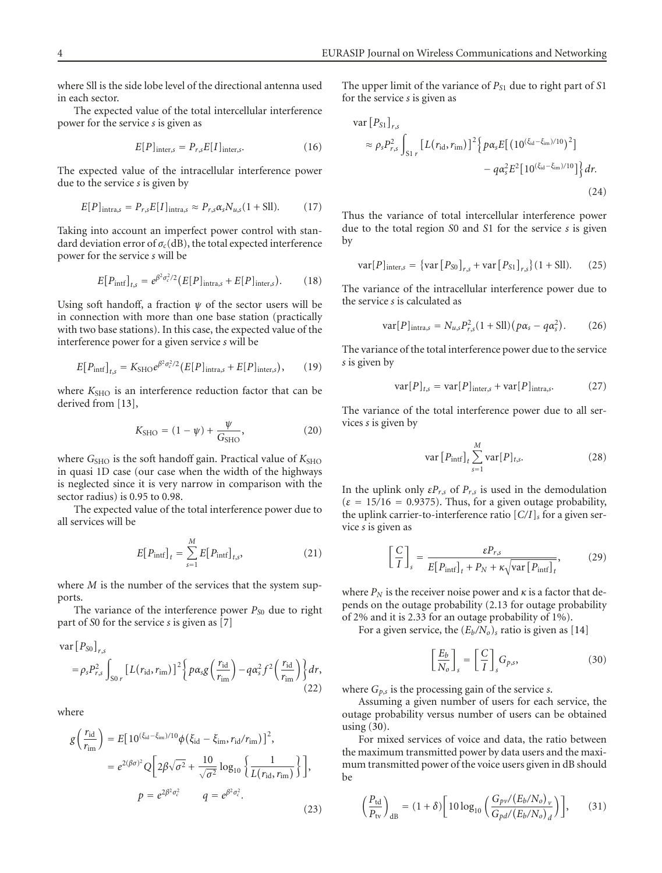where Sll is the side lobe level of the directional antenna used in each sector.

The expected value of the total intercellular interference power for the service *s* is given as

$$
E[P]_{\text{inter},s} = P_{r,s}E[I]_{\text{inter},s}.\tag{16}
$$

The expected value of the intracellular interference power due to the service *s* is given by

$$
E[P]_{\text{intra},s} = P_{r,s}E[I]_{\text{intra},s} \approx P_{r,s}\alpha_s N_{u,s}(1+\text{Sll}).\tag{17}
$$

Taking into account an imperfect power control with standard deviation error of  $\sigma_c$ (dB), the total expected interference power for the service *s* will be

$$
E[P_{\text{inf}}]_{t,s} = e^{\beta^2 \sigma_c^2/2} (E[P]_{\text{intra},s} + E[P]_{\text{inter},s}).
$$
 (18)

Using soft handoff, a fraction  $\psi$  of the sector users will be in connection with more than one base station (practically with two base stations). In this case, the expected value of the interference power for a given service *s* will be

$$
E[P_{\text{intf}}]_{t,s} = K_{\text{SHO}} e^{\beta^2 \sigma_c^2/2} (E[P]_{\text{intra},s} + E[P]_{\text{inter},s}), \qquad (19)
$$

where  $K<sub>SHO</sub>$  is an interference reduction factor that can be derived from [\[13](#page-7-13)],

$$
K_{\text{SHO}} = (1 - \psi) + \frac{\psi}{G_{\text{SHO}}},
$$
 (20)

where *G*<sub>SHO</sub> is the soft handoff gain. Practical value of  $K<sub>SHO</sub>$ in quasi 1D case (our case when the width of the highways is neglected since it is very narrow in comparison with the sector radius) is 0.95 to 0.98.

The expected value of the total interference power due to all services will be

$$
E[P_{\text{intf}}]_t = \sum_{s=1}^{M} E[P_{\text{intf}}]_{t,s},
$$
\n(21)

where *M* is the number of the services that the system supports.

The variance of the interference power  $P_{S0}$  due to right part of *S*0 for the service *s* is given as [\[7\]](#page-7-7)

$$
\operatorname{var}[P_{S0}]_{r,s}
$$
\n
$$
= \rho_s P_{r,s}^2 \int_{S0 r} \left[ L(r_{\text{id}}, r_{\text{im}}) \right]^2 \left\{ p \alpha_s g \left( \frac{r_{\text{id}}}{r_{\text{im}}} \right) - q \alpha_s^2 f^2 \left( \frac{r_{\text{id}}}{r_{\text{im}}} \right) \right\} dr,
$$
\n(22)

where

$$
g\left(\frac{r_{\rm id}}{r_{\rm im}}\right) = E\left[10^{(\xi_{\rm id}-\xi_{\rm im})/10}\phi\left(\xi_{\rm id}-\xi_{\rm im},r_{\rm id}/r_{\rm im}\right)\right]^2,
$$
  

$$
= e^{2(\beta\sigma)^2}Q\left[2\beta\sqrt{\sigma^2} + \frac{10}{\sqrt{\sigma^2}}\log_{10}\left\{\frac{1}{L(r_{\rm id},r_{\rm im})}\right\}\right],
$$
  

$$
p = e^{2\beta^2\sigma_c^2} \qquad q = e^{\beta^2\sigma_c^2}.
$$
 (23)

The upper limit of the variance of *PS*<sup>1</sup> due to right part of *S*1 for the service *s* is given as

$$
\begin{split} \text{var}\left[P_{S1}\right]_{r,s} &= \rho_s P_{r,s}^2 \int_{S1\ r} \left[L\left(r_{\text{id}}, r_{\text{im}}\right)\right]^2 \left\{p\alpha_s E\left[\left(10^{\left(\xi_{\text{id}}-\xi_{\text{im}}\right)/10}\right)^2\right] \\ &- q\alpha_s^2 E^2\left[10^{\left(\xi_{\text{id}}-\xi_{\text{im}}\right)/10}\right]\right\} dr. \end{split} \tag{24}
$$

Thus the variance of total intercellular interference power due to the total region *S*0 and *S*1 for the service *s* is given by

$$
var[P]_{inter,s} = \{ var[P_{S0}]_{r,s} + var[P_{S1}]_{r,s} \} (1 + SII). \tag{25}
$$

The variance of the intracellular interference power due to the service *s* is calculated as

$$
\text{var}[P]_{\text{intra},s} = N_{u,s} P_{r,s}^2 (1 + \text{Sll}) (p\alpha_s - q\alpha_s^2). \tag{26}
$$

The variance of the total interference power due to the service *s* is given by

$$
var[P]_{t,s} = var[P]_{inter,s} + var[P]_{intra,s}.
$$
 (27)

The variance of the total interference power due to all services *s* is given by

$$
\text{var}\left[P_{\text{inf}}\right]_t \sum_{s=1}^M \text{var}[P]_{t,s}.\tag{28}
$$

In the uplink only  $\epsilon P_{r,s}$  of  $P_{r,s}$  is used in the demodulation  $(\varepsilon = 15/16 = 0.9375)$ . Thus, for a given outage probability, the uplink carrier-to-interference ratio [*C/I*]*<sup>s</sup>* for a given service *s* is given as

<span id="page-3-1"></span>
$$
\left[\frac{C}{I}\right]_{s} = \frac{\varepsilon P_{r,s}}{E[P_{\text{inf}}]_{t} + P_{N} + \kappa \sqrt{\text{var}\left[P_{\text{inf}}\right]_{t}}},\tag{29}
$$

where  $P_N$  is the receiver noise power and  $\kappa$  is a factor that depends on the outage probability (2.13 for outage probability of 2% and it is 2.33 for an outage probability of 1%).

For a given service, the  $(E_b/N_o)$ <sub>s</sub> ratio is given as [\[14](#page-7-14)]

<span id="page-3-0"></span>
$$
\left[\frac{E_b}{N_o}\right]_s = \left[\frac{C}{I}\right]_s G_{p,s},\tag{30}
$$

where *Gp*,*<sup>s</sup>* is the processing gain of the service *s*.

Assuming a given number of users for each service, the outage probability versus number of users can be obtained using [\(30\)](#page-3-0).

For mixed services of voice and data, the ratio between the maximum transmitted power by data users and the maximum transmitted power of the voice users given in dB should be

$$
\left(\frac{P_{\rm td}}{P_{\rm tv}}\right)_{\rm dB} = (1+\delta) \left[10 \log_{10} \left(\frac{G_{p\nu} / (E_b / N_o)}{G_{pd} / (E_b / N_o)_d}\right)\right],\tag{31}
$$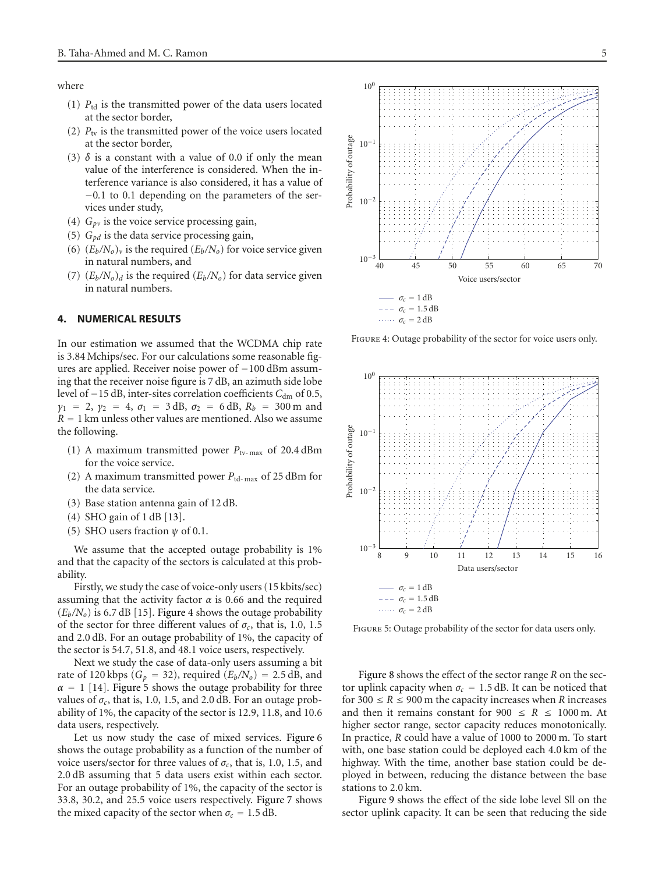where

- (1) *P*td is the transmitted power of the data users located at the sector border,
- (2)  $P_{\text{tv}}$  is the transmitted power of the voice users located at the sector border,
- (3)  $\delta$  is a constant with a value of 0.0 if only the mean value of the interference is considered. When the interference variance is also considered, it has a value of −0*.*1 to 0.1 depending on the parameters of the services under study,
- (4)  $G_{pv}$  is the voice service processing gain,
- (5)  $G_{pd}$  is the data service processing gain,
- (6)  $(E_b/N_o)_v$  is the required  $(E_b/N_o)$  for voice service given in natural numbers, and
- $(7)$   $(E_b/N_o)_d$  is the required  $(E_b/N_o)$  for data service given in natural numbers.

# <span id="page-4-0"></span>**4. NUMERICAL RESULTS**

In our estimation we assumed that the WCDMA chip rate is 3.84 Mchips/sec. For our calculations some reasonable figures are applied. Receiver noise power of −100 dBm assuming that the receiver noise figure is 7 dB, an azimuth side lobe level of −15 dB, inter-sites correlation coefficients C<sub>dm</sub> of 0.5,  $\gamma_1$  = 2,  $\gamma_2$  = 4,  $\sigma_1$  = 3 dB,  $\sigma_2$  = 6 dB,  $R_b$  = 300 m and  $R = 1$  km unless other values are mentioned. Also we assume the following.

- (1) A maximum transmitted power  $P_{\text{tv-max}}$  of 20.4 dBm for the voice service.
- (2) A maximum transmitted power *P*td- max of 25 dBm for the data service.
- (3) Base station antenna gain of 12 dB.
- (4) SHO gain of 1 dB [\[13\]](#page-7-13).
- (5) SHO users fraction *ψ* of 0.1.

We assume that the accepted outage probability is  $1\%$ and that the capacity of the sectors is calculated at this probability.

Firstly, we study the case of voice-only users (15 kbits/sec) assuming that the activity factor *α* is 0.66 and the required  $(E_b/N_o)$  is 6.7 dB [\[15](#page-7-15)]. [Figure 4](#page-4-1) shows the outage probability of the sector for three different values of  $\sigma_c$ , that is, 1.0, 1.5 and 2.0 dB. For an outage probability of 1%, the capacity of the sector is 54.7, 51.8, and 48.1 voice users, respectively.

Next we study the case of data-only users assuming a bit rate of 120 kbps ( $G_p = 32$ ), required ( $E_b/N_o$ ) = 2.5 dB, and  $\alpha = 1$  [\[14](#page-7-14)]. [Figure 5](#page-4-2) shows the outage probability for three values of  $\sigma_c$ , that is, 1.0, 1.5, and 2.0 dB. For an outage probability of 1%, the capacity of the sector is 12.9, 11.8, and 10.6 data users, respectively.

Let us now study the case of mixed services. [Figure 6](#page-5-0) shows the outage probability as a function of the number of voice users/sector for three values of  $\sigma_c$ , that is, 1.0, 1.5, and 2.0 dB assuming that 5 data users exist within each sector. For an outage probability of 1%, the capacity of the sector is 33.8, 30.2, and 25.5 voice users respectively. [Figure 7](#page-5-1) shows the mixed capacity of the sector when  $\sigma_c = 1.5$  dB.



Figure 4: Outage probability of the sector for voice users only.

<span id="page-4-1"></span>

<span id="page-4-2"></span>Figure 5: Outage probability of the sector for data users only.

[Figure 8](#page-5-2) shows the effect of the sector range *R* on the sector uplink capacity when  $\sigma_c = 1.5$  dB. It can be noticed that for  $300 \le R \le 900$  m the capacity increases when *R* increases and then it remains constant for  $900 \le R \le 1000$  m. At higher sector range, sector capacity reduces monotonically. In practice, *R* could have a value of 1000 to 2000 m. To start with, one base station could be deployed each 4.0 km of the highway. With the time, another base station could be deployed in between, reducing the distance between the base stations to 2.0 km.

[Figure 9](#page-5-3) shows the effect of the side lobe level Sll on the sector uplink capacity. It can be seen that reducing the side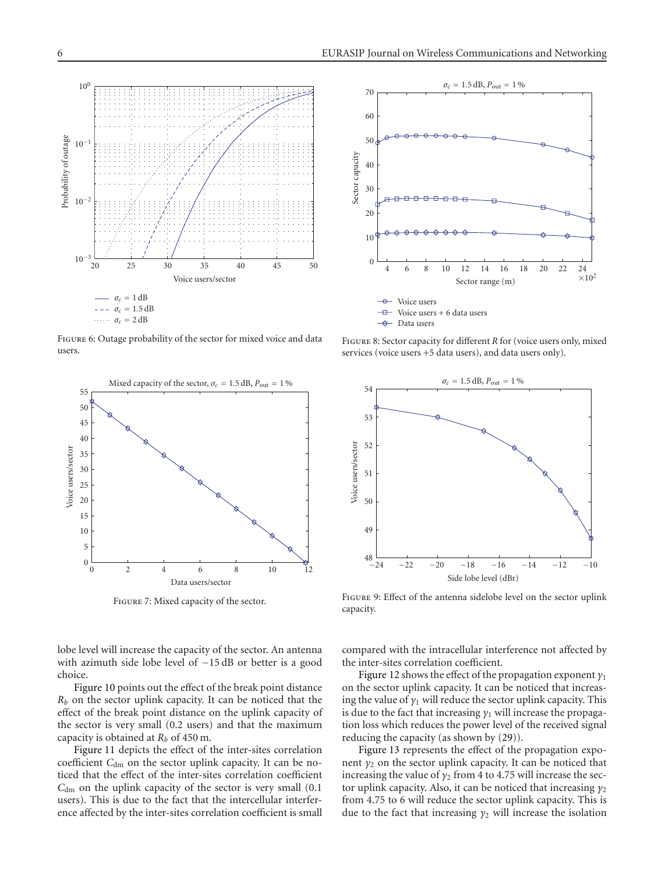

<span id="page-5-0"></span>FIGURE 6: Outage probability of the sector for mixed voice and data users.



<span id="page-5-1"></span>Figure 7: Mixed capacity of the sector.

lobe level will increase the capacity of the sector. An antenna with azimuth side lobe level of −15 dB or better is a good choice.

[Figure 10](#page-6-1) points out the effect of the break point distance *Rb* on the sector uplink capacity. It can be noticed that the effect of the break point distance on the uplink capacity of the sector is very small (0.2 users) and that the maximum capacity is obtained at *Rb* of 450 m.

[Figure 11](#page-6-2) depicts the effect of the inter-sites correlation coefficient C<sub>dm</sub> on the sector uplink capacity. It can be noticed that the effect of the inter-sites correlation coefficient *C*<sub>dm</sub> on the uplink capacity of the sector is very small (0.1) users). This is due to the fact that the intercellular interference affected by the inter-sites correlation coefficient is small



<span id="page-5-2"></span>FIGURE 8: Sector capacity for different *R* for (voice users only, mixed services (voice users +5 data users), and data users only).



<span id="page-5-3"></span>Figure 9: Effect of the antenna sidelobe level on the sector uplink capacity.

compared with the intracellular interference not affected by the inter-sites correlation coefficient.

[Figure 12](#page-6-3) shows the effect of the propagation exponent *γ*<sup>1</sup> on the sector uplink capacity. It can be noticed that increasing the value of  $\gamma_1$  will reduce the sector uplink capacity. This is due to the fact that increasing *γ*<sup>1</sup> will increase the propagation loss which reduces the power level of the received signal reducing the capacity (as shown by [\(29\)](#page-3-1)).

[Figure 13](#page-6-4) represents the effect of the propagation exponent  $y_2$  on the sector uplink capacity. It can be noticed that increasing the value of  $\gamma_2$  from 4 to 4.75 will increase the sector uplink capacity. Also, it can be noticed that increasing *γ*<sub>2</sub> from 4.75 to 6 will reduce the sector uplink capacity. This is due to the fact that increasing *γ*<sup>2</sup> will increase the isolation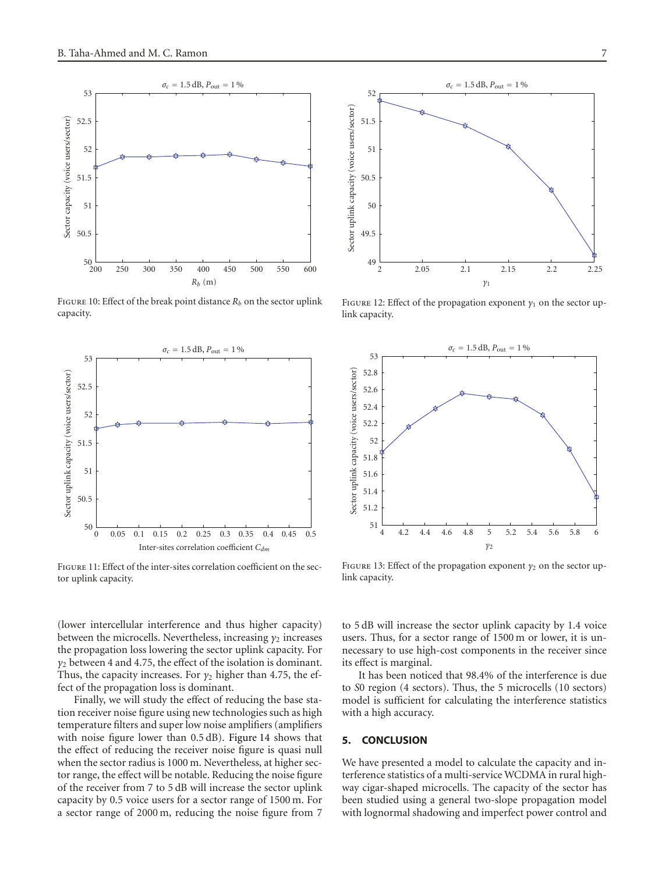

<span id="page-6-1"></span>FIGURE 10: Effect of the break point distance  $R_b$  on the sector uplink capacity.



<span id="page-6-2"></span>Figure 11: Effect of the inter-sites correlation coefficient on the sector uplink capacity.

(lower intercellular interference and thus higher capacity) between the microcells. Nevertheless, increasing *γ*<sub>2</sub> increases</sub> the propagation loss lowering the sector uplink capacity. For *γ*<sup>2</sup> between 4 and 4.75, the effect of the isolation is dominant. Thus, the capacity increases. For  $\gamma_2$  higher than 4.75, the effect of the propagation loss is dominant.

Finally, we will study the effect of reducing the base station receiver noise figure using new technologies such as high temperature filters and super low noise amplifiers (amplifiers with noise figure lower than 0.5 dB). [Figure 14](#page-7-16) shows that the effect of reducing the receiver noise figure is quasi null when the sector radius is 1000 m. Nevertheless, at higher sector range, the effect will be notable. Reducing the noise figure of the receiver from 7 to 5 dB will increase the sector uplink capacity by 0.5 voice users for a sector range of 1500 m. For a sector range of 2000 m, reducing the noise figure from 7



<span id="page-6-3"></span>Figure 12: Effect of the propagation exponent *γ*<sup>1</sup> on the sector uplink capacity.



<span id="page-6-4"></span>FIGURE 13: Effect of the propagation exponent  $\gamma_2$  on the sector uplink capacity.

to 5 dB will increase the sector uplink capacity by 1.4 voice users. Thus, for a sector range of 1500 m or lower, it is unnecessary to use high-cost components in the receiver since its effect is marginal.

It has been noticed that 98.4% of the interference is due to *S*0 region (4 sectors). Thus, the 5 microcells (10 sectors) model is sufficient for calculating the interference statistics with a high accuracy.

# <span id="page-6-0"></span>**5. CONCLUSION**

We have presented a model to calculate the capacity and interference statistics of a multi-service WCDMA in rural highway cigar-shaped microcells. The capacity of the sector has been studied using a general two-slope propagation model with lognormal shadowing and imperfect power control and